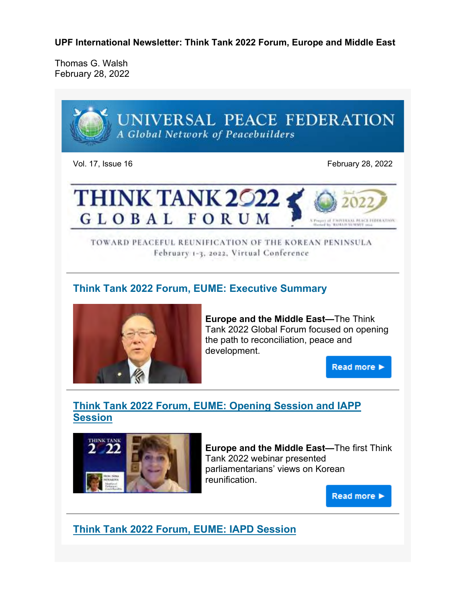**UPF International Newsletter: Think Tank 2022 Forum, Europe and Middle East**

Thomas G. Walsh February 28, 2022



Vol. 17, Issue 16 February 28, 2022



TOWARD PEACEFUL REUNIFICATION OF THE KOREAN PENINSULA February 1-3, 2022, Virtual Conference

## **Think Tank 2022 Forum, EUME: Executive Summary**



**Europe and the Middle East—**The Think Tank 2022 Global Forum focused on opening the path to reconciliation, peace and development.

**Read more ▶** 

# **Think Tank 2022 Forum, EUME: Opening Session and IAPP Session**



**Europe and the Middle East—**The first Think Tank 2022 webinar presented parliamentarians' views on Korean reunification.

Read more  $\blacktriangleright$ 

**Think Tank 2022 Forum, EUME: IAPD Session**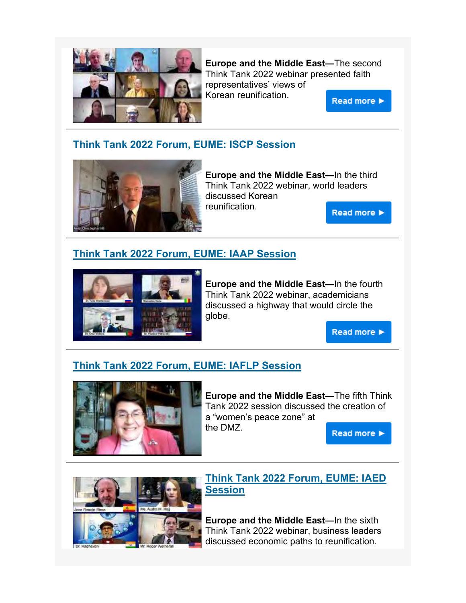

**Europe and the Middle East—**The second Think Tank 2022 webinar presented faith representatives' views of Korean reunification.

Read more >

#### **Think Tank 2022 Forum, EUME: ISCP Session**



**Europe and the Middle East—**In the third Think Tank 2022 webinar, world leaders discussed Korean reunification. **Read more ▶** 

### **Think Tank 2022 Forum, EUME: IAAP Session**



**Europe and the Middle East—**In the fourth Think Tank 2022 webinar, academicians discussed a highway that would circle the globe.

Read more >

### **Think Tank 2022 Forum, EUME: IAFLP Session**



**Europe and the Middle East—**The fifth Think Tank 2022 session discussed the creation of a "women's peace zone" at the DMZ.





#### **Think Tank 2022 Forum, EUME: IAED Session**

**Europe and the Middle East—**In the sixth Think Tank 2022 webinar, business leaders discussed economic paths to reunification.